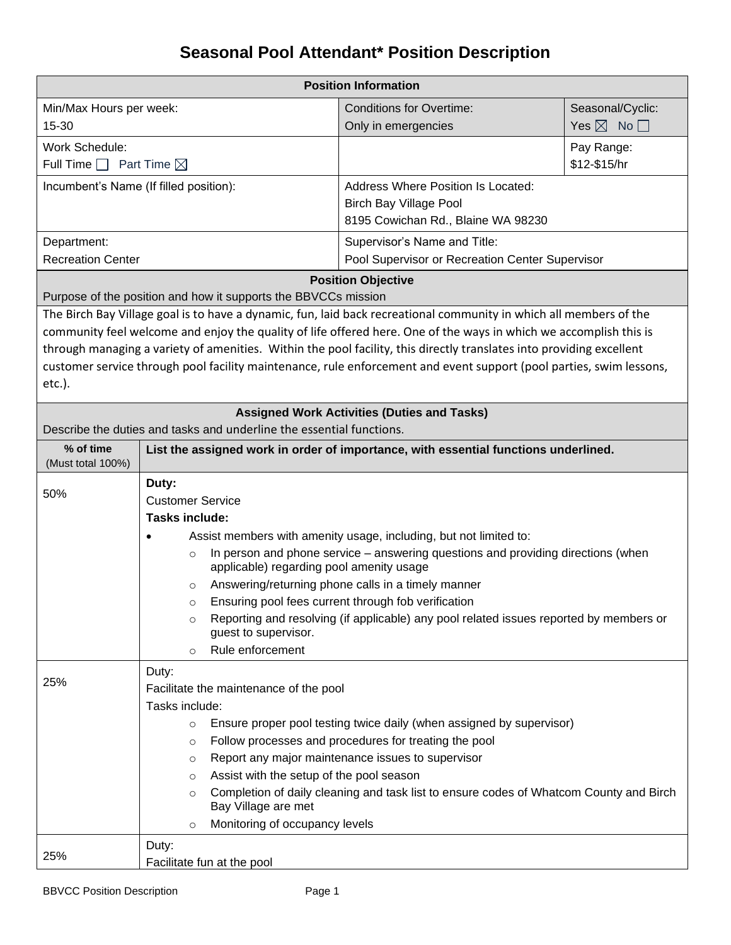## **Seasonal Pool Attendant\* Position Description**

| <b>Position Information</b>                                                                                           |                                                                                                                           |                                                                                                                      |                              |  |  |
|-----------------------------------------------------------------------------------------------------------------------|---------------------------------------------------------------------------------------------------------------------------|----------------------------------------------------------------------------------------------------------------------|------------------------------|--|--|
| Min/Max Hours per week:                                                                                               |                                                                                                                           | <b>Conditions for Overtime:</b>                                                                                      | Seasonal/Cyclic:             |  |  |
| 15-30                                                                                                                 |                                                                                                                           | Only in emergencies                                                                                                  | Yes $\boxtimes$ No $\square$ |  |  |
| Work Schedule:                                                                                                        |                                                                                                                           |                                                                                                                      | Pay Range:                   |  |  |
| Full Time $\Box$ Part Time $\boxtimes$                                                                                |                                                                                                                           |                                                                                                                      | \$12-\$15/hr                 |  |  |
|                                                                                                                       | Incumbent's Name (If filled position):                                                                                    | <b>Address Where Position Is Located:</b>                                                                            |                              |  |  |
|                                                                                                                       |                                                                                                                           | <b>Birch Bay Village Pool</b>                                                                                        |                              |  |  |
|                                                                                                                       |                                                                                                                           | 8195 Cowichan Rd., Blaine WA 98230                                                                                   |                              |  |  |
| Department:                                                                                                           |                                                                                                                           | Supervisor's Name and Title:                                                                                         |                              |  |  |
| <b>Recreation Center</b>                                                                                              |                                                                                                                           | Pool Supervisor or Recreation Center Supervisor                                                                      |                              |  |  |
|                                                                                                                       |                                                                                                                           | <b>Position Objective</b>                                                                                            |                              |  |  |
|                                                                                                                       | Purpose of the position and how it supports the BBVCCs mission                                                            |                                                                                                                      |                              |  |  |
|                                                                                                                       |                                                                                                                           | The Birch Bay Village goal is to have a dynamic, fun, laid back recreational community in which all members of the   |                              |  |  |
|                                                                                                                       |                                                                                                                           | community feel welcome and enjoy the quality of life offered here. One of the ways in which we accomplish this is    |                              |  |  |
|                                                                                                                       |                                                                                                                           | through managing a variety of amenities. Within the pool facility, this directly translates into providing excellent |                              |  |  |
| etc.).                                                                                                                |                                                                                                                           | customer service through pool facility maintenance, rule enforcement and event support (pool parties, swim lessons,  |                              |  |  |
|                                                                                                                       |                                                                                                                           |                                                                                                                      |                              |  |  |
|                                                                                                                       |                                                                                                                           | <b>Assigned Work Activities (Duties and Tasks)</b>                                                                   |                              |  |  |
|                                                                                                                       | Describe the duties and tasks and underline the essential functions.                                                      |                                                                                                                      |                              |  |  |
| % of time<br>(Must total 100%)                                                                                        | List the assigned work in order of importance, with essential functions underlined.                                       |                                                                                                                      |                              |  |  |
| 50%                                                                                                                   | Duty:                                                                                                                     |                                                                                                                      |                              |  |  |
|                                                                                                                       | <b>Customer Service</b>                                                                                                   |                                                                                                                      |                              |  |  |
|                                                                                                                       | <b>Tasks include:</b>                                                                                                     |                                                                                                                      |                              |  |  |
|                                                                                                                       |                                                                                                                           | Assist members with amenity usage, including, but not limited to:                                                    |                              |  |  |
|                                                                                                                       | $\circ$<br>applicable) regarding pool amenity usage                                                                       | In person and phone service – answering questions and providing directions (when                                     |                              |  |  |
|                                                                                                                       | $\circ$                                                                                                                   | Answering/returning phone calls in a timely manner                                                                   |                              |  |  |
|                                                                                                                       | Ensuring pool fees current through fob verification<br>$\circ$                                                            |                                                                                                                      |                              |  |  |
|                                                                                                                       | Reporting and resolving (if applicable) any pool related issues reported by members or<br>$\circ$<br>guest to supervisor. |                                                                                                                      |                              |  |  |
|                                                                                                                       | Rule enforcement<br>$\circ$                                                                                               |                                                                                                                      |                              |  |  |
|                                                                                                                       | Duty:                                                                                                                     |                                                                                                                      |                              |  |  |
| 25%                                                                                                                   | Facilitate the maintenance of the pool                                                                                    |                                                                                                                      |                              |  |  |
|                                                                                                                       | Tasks include:                                                                                                            |                                                                                                                      |                              |  |  |
|                                                                                                                       | Ensure proper pool testing twice daily (when assigned by supervisor)<br>$\circ$                                           |                                                                                                                      |                              |  |  |
| Follow processes and procedures for treating the pool<br>$\circ$<br>Report any major maintenance issues to supervisor |                                                                                                                           |                                                                                                                      |                              |  |  |
|                                                                                                                       |                                                                                                                           |                                                                                                                      |                              |  |  |
|                                                                                                                       | Assist with the setup of the pool season<br>$\circ$                                                                       |                                                                                                                      |                              |  |  |
|                                                                                                                       | $\circ$<br>Bay Village are met                                                                                            | Completion of daily cleaning and task list to ensure codes of Whatcom County and Birch                               |                              |  |  |
|                                                                                                                       | Monitoring of occupancy levels<br>$\circ$                                                                                 |                                                                                                                      |                              |  |  |
|                                                                                                                       | Duty:                                                                                                                     |                                                                                                                      |                              |  |  |
| 25%                                                                                                                   | Facilitate fun at the pool                                                                                                |                                                                                                                      |                              |  |  |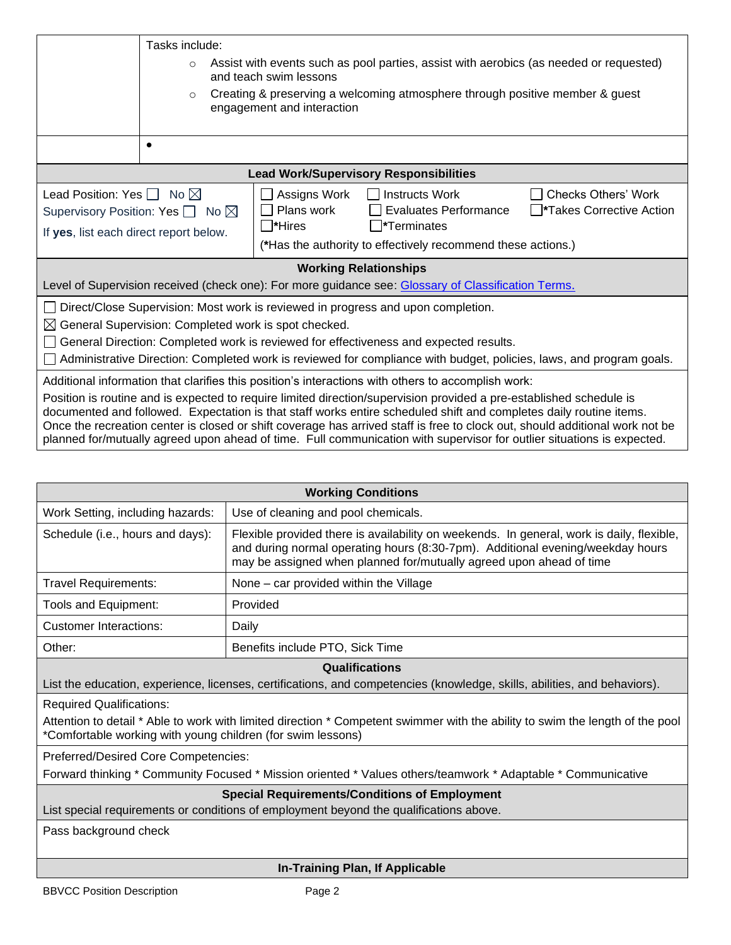|                                                                                                                                                                                                                                                                                                                                                                                                                                                                                                     | Tasks include:                                                                                                              |                                                                   |                                                                                                                                                 |                                                                 |  |
|-----------------------------------------------------------------------------------------------------------------------------------------------------------------------------------------------------------------------------------------------------------------------------------------------------------------------------------------------------------------------------------------------------------------------------------------------------------------------------------------------------|-----------------------------------------------------------------------------------------------------------------------------|-------------------------------------------------------------------|-------------------------------------------------------------------------------------------------------------------------------------------------|-----------------------------------------------------------------|--|
|                                                                                                                                                                                                                                                                                                                                                                                                                                                                                                     | Assist with events such as pool parties, assist with aerobics (as needed or requested)<br>$\circ$<br>and teach swim lessons |                                                                   |                                                                                                                                                 |                                                                 |  |
|                                                                                                                                                                                                                                                                                                                                                                                                                                                                                                     | Creating & preserving a welcoming atmosphere through positive member & guest<br>$\Omega$<br>engagement and interaction      |                                                                   |                                                                                                                                                 |                                                                 |  |
|                                                                                                                                                                                                                                                                                                                                                                                                                                                                                                     | $\bullet$                                                                                                                   |                                                                   |                                                                                                                                                 |                                                                 |  |
|                                                                                                                                                                                                                                                                                                                                                                                                                                                                                                     |                                                                                                                             |                                                                   | <b>Lead Work/Supervisory Responsibilities</b>                                                                                                   |                                                                 |  |
| Lead Position: Yes $\Box$ No $\boxtimes$<br>Supervisory Position: Yes $\Box$ No $\boxtimes$<br>If yes, list each direct report below.                                                                                                                                                                                                                                                                                                                                                               |                                                                                                                             | Assigns Work<br>$\blacksquare$<br>Plans work<br>$\square^*$ Hires | <b>Instructs Work</b><br><b>Evaluates Performance</b><br>$\square^*$ Terminates<br>(*Has the authority to effectively recommend these actions.) | <b>Checks Others' Work</b><br><b>T</b> *Takes Corrective Action |  |
| <b>Working Relationships</b><br>Level of Supervision received (check one): For more guidance see: Glossary of Classification Terms.                                                                                                                                                                                                                                                                                                                                                                 |                                                                                                                             |                                                                   |                                                                                                                                                 |                                                                 |  |
| □ Direct/Close Supervision: Most work is reviewed in progress and upon completion.                                                                                                                                                                                                                                                                                                                                                                                                                  |                                                                                                                             |                                                                   |                                                                                                                                                 |                                                                 |  |
| $\boxtimes$ General Supervision: Completed work is spot checked.                                                                                                                                                                                                                                                                                                                                                                                                                                    |                                                                                                                             |                                                                   |                                                                                                                                                 |                                                                 |  |
| General Direction: Completed work is reviewed for effectiveness and expected results.<br>$\mathbf{I}$<br>Administrative Direction: Completed work is reviewed for compliance with budget, policies, laws, and program goals.                                                                                                                                                                                                                                                                        |                                                                                                                             |                                                                   |                                                                                                                                                 |                                                                 |  |
| Additional information that clarifies this position's interactions with others to accomplish work:                                                                                                                                                                                                                                                                                                                                                                                                  |                                                                                                                             |                                                                   |                                                                                                                                                 |                                                                 |  |
| Position is routine and is expected to require limited direction/supervision provided a pre-established schedule is<br>documented and followed. Expectation is that staff works entire scheduled shift and completes daily routine items.<br>Once the recreation center is closed or shift coverage has arrived staff is free to clock out, should additional work not be<br>planned for/mutually agreed upon ahead of time. Full communication with supervisor for outlier situations is expected. |                                                                                                                             |                                                                   |                                                                                                                                                 |                                                                 |  |

| <b>Working Conditions</b>                                                                                                                                                                                                                                                              |                                     |  |  |
|----------------------------------------------------------------------------------------------------------------------------------------------------------------------------------------------------------------------------------------------------------------------------------------|-------------------------------------|--|--|
| Work Setting, including hazards:                                                                                                                                                                                                                                                       | Use of cleaning and pool chemicals. |  |  |
| Schedule (i.e., hours and days):<br>Flexible provided there is availability on weekends. In general, work is daily, flexible,<br>and during normal operating hours (8:30-7pm). Additional evening/weekday hours<br>may be assigned when planned for/mutually agreed upon ahead of time |                                     |  |  |
| <b>Travel Requirements:</b><br>None - car provided within the Village                                                                                                                                                                                                                  |                                     |  |  |
| Provided<br>Tools and Equipment:                                                                                                                                                                                                                                                       |                                     |  |  |
| <b>Customer Interactions:</b>                                                                                                                                                                                                                                                          | Daily                               |  |  |
| Other:                                                                                                                                                                                                                                                                                 | Benefits include PTO, Sick Time     |  |  |
| Qualifications<br>List the education, experience, licenses, certifications, and competencies (knowledge, skills, abilities, and behaviors).                                                                                                                                            |                                     |  |  |
| <b>Required Qualifications:</b>                                                                                                                                                                                                                                                        |                                     |  |  |
| Attention to detail * Able to work with limited direction * Competent swimmer with the ability to swim the length of the pool<br>*Comfortable working with young children (for swim lessons)                                                                                           |                                     |  |  |
| Preferred/Desired Core Competencies:                                                                                                                                                                                                                                                   |                                     |  |  |
| Forward thinking * Community Focused * Mission oriented * Values others/teamwork * Adaptable * Communicative                                                                                                                                                                           |                                     |  |  |
| <b>Special Requirements/Conditions of Employment</b>                                                                                                                                                                                                                                   |                                     |  |  |
| List special requirements or conditions of employment beyond the qualifications above.                                                                                                                                                                                                 |                                     |  |  |
| Pass background check                                                                                                                                                                                                                                                                  |                                     |  |  |
| In-Training Plan, If Applicable                                                                                                                                                                                                                                                        |                                     |  |  |
|                                                                                                                                                                                                                                                                                        |                                     |  |  |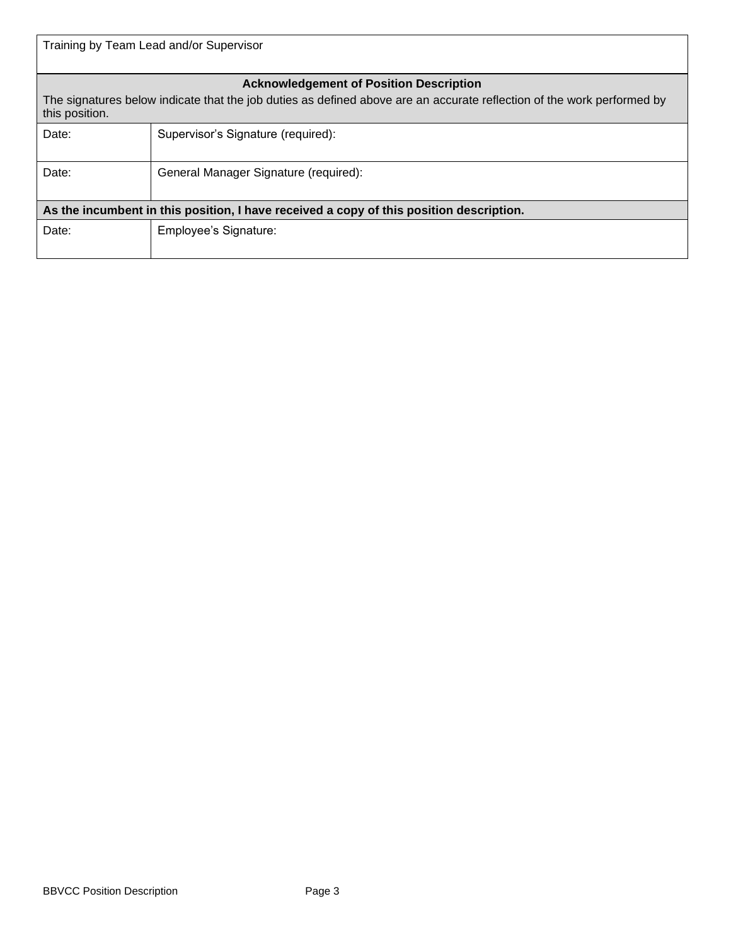| Training by Team Lead and/or Supervisor                                                                                                                                                    |                                       |  |  |
|--------------------------------------------------------------------------------------------------------------------------------------------------------------------------------------------|---------------------------------------|--|--|
| <b>Acknowledgement of Position Description</b><br>The signatures below indicate that the job duties as defined above are an accurate reflection of the work performed by<br>this position. |                                       |  |  |
| Date:                                                                                                                                                                                      | Supervisor's Signature (required):    |  |  |
| Date:                                                                                                                                                                                      | General Manager Signature (required): |  |  |
| As the incumbent in this position, I have received a copy of this position description.                                                                                                    |                                       |  |  |
| Date:                                                                                                                                                                                      | Employee's Signature:                 |  |  |